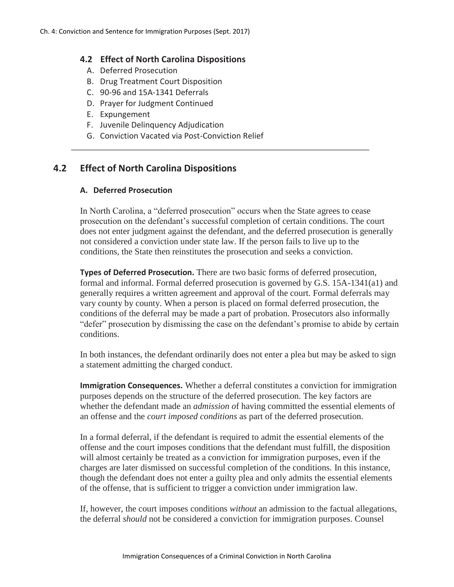### **4.2 Effect of North Carolina Dispositions**

- A. Deferred Prosecution
- B. Drug Treatment Court Disposition
- C. 90-96 and 15A-1341 Deferrals
- D. Prayer for Judgment Continued
- E. Expungement
- F. Juvenile Delinquency Adjudication
- G. Conviction Vacated via Post-Conviction Relief

# **4.2 Effect of North Carolina Dispositions**

#### **A. Deferred Prosecution**

In North Carolina, a "deferred prosecution" occurs when the State agrees to cease prosecution on the defendant's successful completion of certain conditions. The court does not enter judgment against the defendant, and the deferred prosecution is generally not considered a conviction under state law. If the person fails to live up to the conditions, the State then reinstitutes the prosecution and seeks a conviction.

\_\_\_\_\_\_\_\_\_\_\_\_\_\_\_\_\_\_\_\_\_\_\_\_\_\_\_\_\_\_\_\_\_\_\_\_\_\_\_\_\_\_\_\_\_\_\_\_\_\_\_\_\_\_\_\_\_\_\_\_\_\_\_\_\_\_\_

**Types of Deferred Prosecution.** There are two basic forms of deferred prosecution, formal and informal. Formal deferred prosecution is governed by G.S. 15A-1341(a1) and generally requires a written agreement and approval of the court. Formal deferrals may vary county by county. When a person is placed on formal deferred prosecution, the conditions of the deferral may be made a part of probation. Prosecutors also informally "defer" prosecution by dismissing the case on the defendant's promise to abide by certain conditions.

In both instances, the defendant ordinarily does not enter a plea but may be asked to sign a statement admitting the charged conduct.

**Immigration Consequences.** Whether a deferral constitutes a conviction for immigration purposes depends on the structure of the deferred prosecution. The key factors are whether the defendant made an *admission o*f having committed the essential elements of an offense and the *court imposed conditions* as part of the deferred prosecution.

In a formal deferral, if the defendant is required to admit the essential elements of the offense and the court imposes conditions that the defendant must fulfill, the disposition will almost certainly be treated as a conviction for immigration purposes, even if the charges are later dismissed on successful completion of the conditions. In this instance, though the defendant does not enter a guilty plea and only admits the essential elements of the offense, that is sufficient to trigger a conviction under immigration law.

If, however, the court imposes conditions *without* an admission to the factual allegations, the deferral *should* not be considered a conviction for immigration purposes. Counsel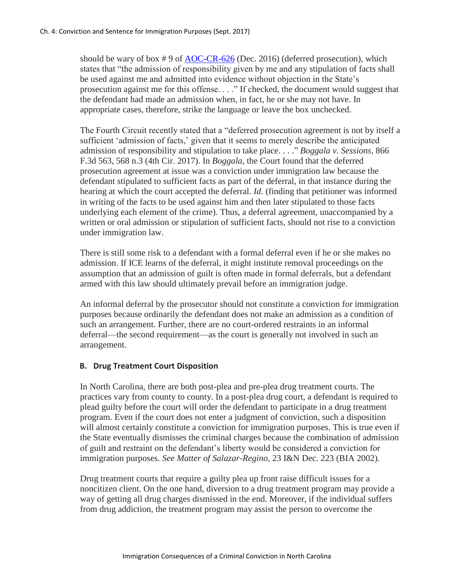should be wary of box  $\# 9$  of [AOC-CR-626](http://www.nccourts.org/Forms/Documents/1025.pdf) (Dec. 2016) (deferred prosecution), which states that "the admission of responsibility given by me and any stipulation of facts shall be used against me and admitted into evidence without objection in the State's prosecution against me for this offense. . . ." If checked, the document would suggest that the defendant had made an admission when, in fact, he or she may not have. In appropriate cases, therefore, strike the language or leave the box unchecked.

The Fourth Circuit recently stated that a "deferred prosecution agreement is not by itself a sufficient 'admission of facts,' given that it seems to merely describe the anticipated admission of responsibility and stipulation to take place. . . ." *Boggala v. Sessions*, 866 F.3d 563, 568 n.3 (4th Cir. 2017). In *Boggala*, the Court found that the deferred prosecution agreement at issue was a conviction under immigration law because the defendant stipulated to sufficient facts as part of the deferral, in that instance during the hearing at which the court accepted the deferral. *Id*. (finding that petitioner was informed in writing of the facts to be used against him and then later stipulated to those facts underlying each element of the crime). Thus, a deferral agreement, unaccompanied by a written or oral admission or stipulation of sufficient facts, should not rise to a conviction under immigration law.

There is still some risk to a defendant with a formal deferral even if he or she makes no admission. If ICE learns of the deferral, it might institute removal proceedings on the assumption that an admission of guilt is often made in formal deferrals, but a defendant armed with this law should ultimately prevail before an immigration judge.

An informal deferral by the prosecutor should not constitute a conviction for immigration purposes because ordinarily the defendant does not make an admission as a condition of such an arrangement. Further, there are no court-ordered restraints in an informal deferral—the second requirement—as the court is generally not involved in such an arrangement.

### **B. Drug Treatment Court Disposition**

In North Carolina, there are both post-plea and pre-plea drug treatment courts. The practices vary from county to county. In a post-plea drug court, a defendant is required to plead guilty before the court will order the defendant to participate in a drug treatment program. Even if the court does not enter a judgment of conviction, such a disposition will almost certainly constitute a conviction for immigration purposes. This is true even if the State eventually dismisses the criminal charges because the combination of admission of guilt and restraint on the defendant's liberty would be considered a conviction for immigration purposes. *See Matter of Salazar-Regino*, 23 I&N Dec. 223 (BIA 2002).

Drug treatment courts that require a guilty plea up front raise difficult issues for a noncitizen client. On the one hand, diversion to a drug treatment program may provide a way of getting all drug charges dismissed in the end. Moreover, if the individual suffers from drug addiction, the treatment program may assist the person to overcome the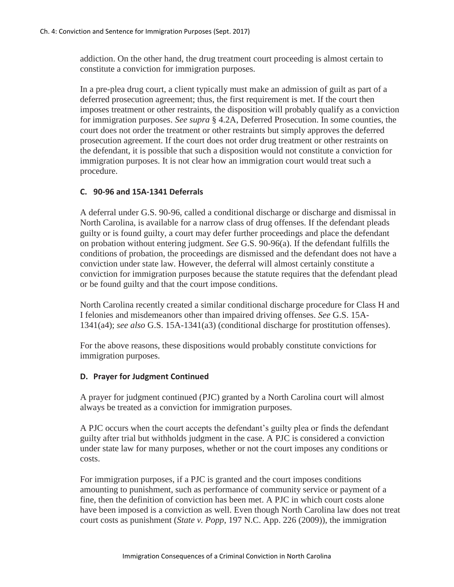addiction. On the other hand, the drug treatment court proceeding is almost certain to constitute a conviction for immigration purposes.

In a pre-plea drug court, a client typically must make an admission of guilt as part of a deferred prosecution agreement; thus, the first requirement is met. If the court then imposes treatment or other restraints, the disposition will probably qualify as a conviction for immigration purposes. *See supra* § 4.2A, Deferred Prosecution. In some counties, the court does not order the treatment or other restraints but simply approves the deferred prosecution agreement. If the court does not order drug treatment or other restraints on the defendant, it is possible that such a disposition would not constitute a conviction for immigration purposes. It is not clear how an immigration court would treat such a procedure.

## **C. 90-96 and 15A-1341 Deferrals**

A deferral under G.S. 90-96, called a conditional discharge or discharge and dismissal in North Carolina, is available for a narrow class of drug offenses. If the defendant pleads guilty or is found guilty, a court may defer further proceedings and place the defendant on probation without entering judgment. *See* G.S. 90-96(a). If the defendant fulfills the conditions of probation, the proceedings are dismissed and the defendant does not have a conviction under state law. However, the deferral will almost certainly constitute a conviction for immigration purposes because the statute requires that the defendant plead or be found guilty and that the court impose conditions.

North Carolina recently created a similar conditional discharge procedure for Class H and I felonies and misdemeanors other than impaired driving offenses. *See* G.S. 15A-1341(a4); *see also* G.S. 15A-1341(a3) (conditional discharge for prostitution offenses).

For the above reasons, these dispositions would probably constitute convictions for immigration purposes.

### **D. Prayer for Judgment Continued**

A prayer for judgment continued (PJC) granted by a North Carolina court will almost always be treated as a conviction for immigration purposes.

A PJC occurs when the court accepts the defendant's guilty plea or finds the defendant guilty after trial but withholds judgment in the case. A PJC is considered a conviction under state law for many purposes, whether or not the court imposes any conditions or costs.

For immigration purposes, if a PJC is granted and the court imposes conditions amounting to punishment, such as performance of community service or payment of a fine, then the definition of conviction has been met. A PJC in which court costs alone have been imposed is a conviction as well. Even though North Carolina law does not treat court costs as punishment (*State v. Popp*, 197 N.C. App. 226 (2009)), the immigration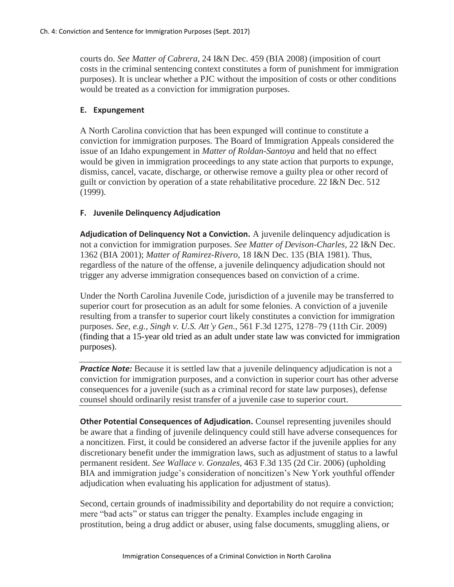courts do. *See Matter of Cabrera*, 24 I&N Dec. 459 (BIA 2008) (imposition of court costs in the criminal sentencing context constitutes a form of punishment for immigration purposes). It is unclear whether a PJC without the imposition of costs or other conditions would be treated as a conviction for immigration purposes.

### **E. Expungement**

A North Carolina conviction that has been expunged will continue to constitute a conviction for immigration purposes. The Board of Immigration Appeals considered the issue of an Idaho expungement in *Matter of Roldan-Santoya* and held that no effect would be given in immigration proceedings to any state action that purports to expunge, dismiss, cancel, vacate, discharge, or otherwise remove a guilty plea or other record of guilt or conviction by operation of a state rehabilitative procedure. 22 I&N Dec. 512 (1999).

### **F. Juvenile Delinquency Adjudication**

**Adjudication of Delinquency Not a Conviction.** A juvenile delinquency adjudication is not a conviction for immigration purposes. *See Matter of Devison-Charles*, 22 I&N Dec. 1362 (BIA 2001); *Matter of Ramirez-Rivero*, 18 I&N Dec. 135 (BIA 1981). Thus, regardless of the nature of the offense, a juvenile delinquency adjudication should not trigger any adverse immigration consequences based on conviction of a crime.

Under the North Carolina Juvenile Code, jurisdiction of a juvenile may be transferred to superior court for prosecution as an adult for some felonies. A conviction of a juvenile resulting from a transfer to superior court likely constitutes a conviction for immigration purposes. *See, e.g., Singh v. U.S. Att'y Gen.*, 561 F.3d 1275, 1278–79 (11th Cir. 2009) (finding that a 15-year old tried as an adult under state law was convicted for immigration purposes).

**Practice Note:** Because it is settled law that a juvenile delinquency adjudication is not a conviction for immigration purposes, and a conviction in superior court has other adverse consequences for a juvenile (such as a criminal record for state law purposes), defense counsel should ordinarily resist transfer of a juvenile case to superior court.

**Other Potential Consequences of Adjudication.** Counsel representing juveniles should be aware that a finding of juvenile delinquency could still have adverse consequences for a noncitizen. First, it could be considered an adverse factor if the juvenile applies for any discretionary benefit under the immigration laws, such as adjustment of status to a lawful permanent resident. *See Wallace v. Gonzales*, 463 F.3d 135 (2d Cir. 2006) (upholding BIA and immigration judge's consideration of noncitizen's New York youthful offender adjudication when evaluating his application for adjustment of status).

Second, certain grounds of inadmissibility and deportability do not require a conviction; mere "bad acts" or status can trigger the penalty. Examples include engaging in prostitution, being a drug addict or abuser, using false documents, smuggling aliens, or